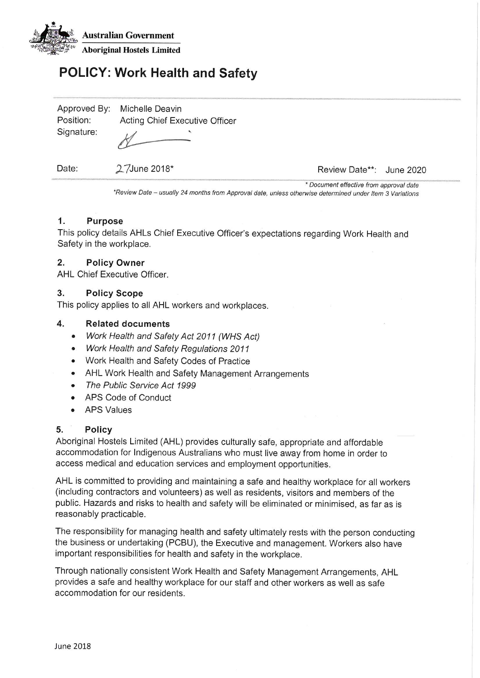

# **POLICY: Work Health and Safety**

| Approved By: | Michelle Deavin                |
|--------------|--------------------------------|
| Position:    | Acting Chief Executive Officer |
| Signature:   | $\mathcal{U}$                  |

Date:

27June 2018\*

Review Date\*\*: June 2020

\* Document effective from approval date \*Review Date - usually 24 months from Approval date, unless otherwise determined under Item 3 Variations

#### $1.$ **Purpose**

This policy details AHLs Chief Executive Officer's expectations regarding Work Health and Safety in the workplace.

#### $2.$ **Policy Owner**

AHL Chief Executive Officer.

### $3.$ **Policy Scope**

This policy applies to all AHL workers and workplaces.

#### $\overline{4}$ . **Related documents**

- Work Health and Safety Act 2011 (WHS Act)
- Work Health and Safety Regulations 2011
- Work Health and Safety Codes of Practice
- AHL Work Health and Safety Management Arrangements
- The Public Service Act 1999  $\bullet$
- APS Code of Conduct
- **APS Values**

#### 5. **Policy**

Aboriginal Hostels Limited (AHL) provides culturally safe, appropriate and affordable accommodation for Indigenous Australians who must live away from home in order to access medical and education services and employment opportunities.

AHL is committed to providing and maintaining a safe and healthy workplace for all workers (including contractors and volunteers) as well as residents, visitors and members of the public. Hazards and risks to health and safety will be eliminated or minimised, as far as is reasonably practicable.

The responsibility for managing health and safety ultimately rests with the person conducting the business or undertaking (PCBU), the Executive and management. Workers also have important responsibilities for health and safety in the workplace.

Through nationally consistent Work Health and Safety Management Arrangements, AHL provides a safe and healthy workplace for our staff and other workers as well as safe accommodation for our residents.